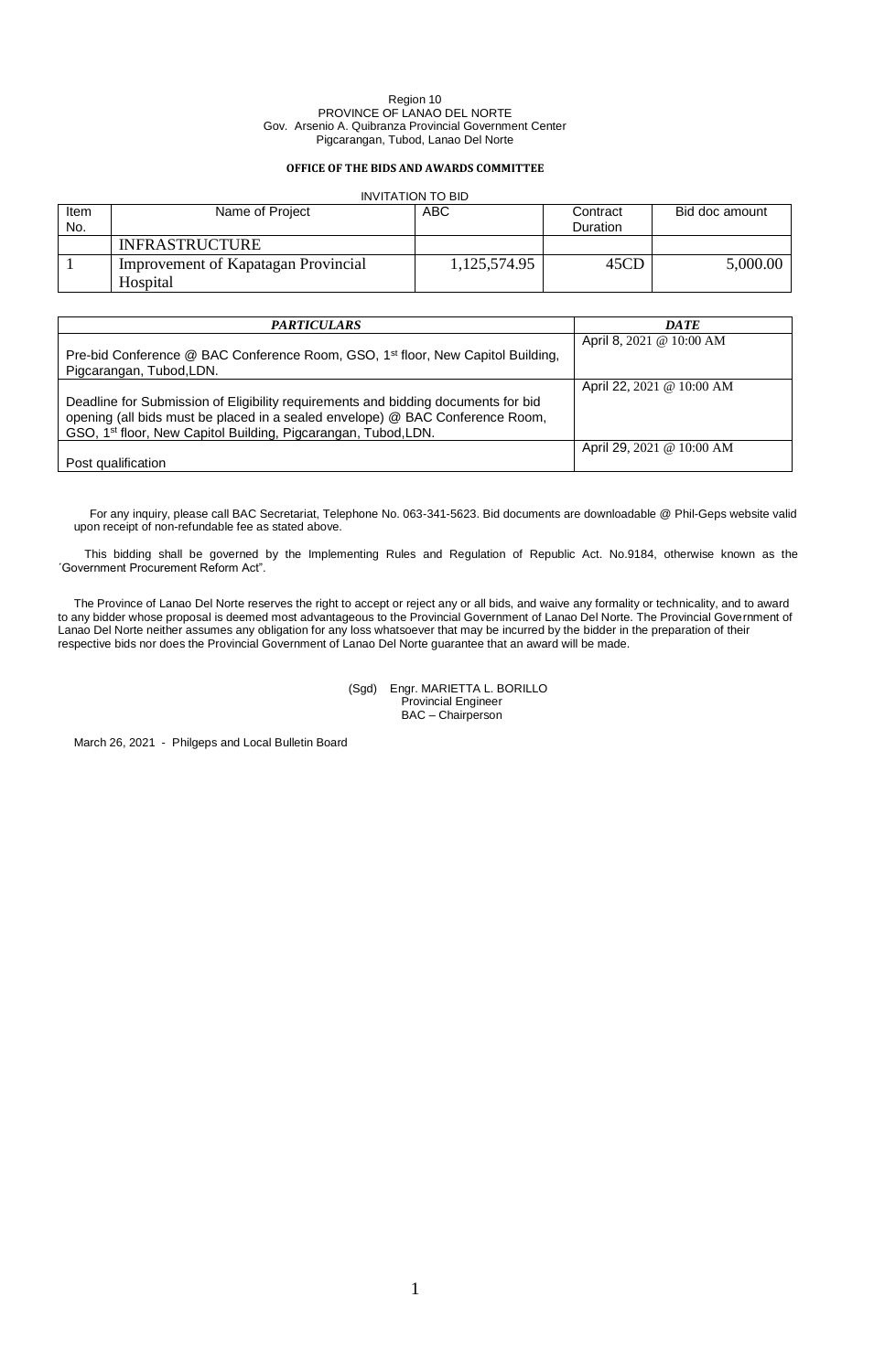# **OFFICE OF THE BIDS AND AWARDS COMMITTEE**

# INVITATION TO BID

| Item<br>No. | Name of Project                     | ABC          | Contract<br>Duration | Bid doc amount |
|-------------|-------------------------------------|--------------|----------------------|----------------|
|             | <b>INFRASTRUCTURE</b>               |              |                      |                |
|             | Improvement of Kapatagan Provincial | 1,125,574.95 | 45CD                 | 5,000.00       |
|             | Hospital                            |              |                      |                |

| <i><b>PARTICULARS</b></i>                                                                                                                                                                                                                        | <b>DATE</b>               |
|--------------------------------------------------------------------------------------------------------------------------------------------------------------------------------------------------------------------------------------------------|---------------------------|
| Pre-bid Conference @ BAC Conference Room, GSO, 1 <sup>st</sup> floor, New Capitol Building,<br>Pigcarangan, Tubod, LDN.                                                                                                                          | April 8, 2021 @ 10:00 AM  |
| Deadline for Submission of Eligibility requirements and bidding documents for bid<br>opening (all bids must be placed in a sealed envelope) @ BAC Conference Room,<br>GSO, 1 <sup>st</sup> floor, New Capitol Building, Pigcarangan, Tubod, LDN. | April 22, 2021 @ 10:00 AM |
| Post qualification                                                                                                                                                                                                                               | April 29, 2021 @ 10:00 AM |

For any inquiry, please call BAC Secretariat, Telephone No. 063-341-5623. Bid documents are downloadable @ Phil-Geps website valid upon receipt of non-refundable fee as stated above.

This bidding shall be governed by the Implementing Rules and Regulation of Republic Act. No.9184, otherwise known as the ´Government Procurement Reform Act".

The Province of Lanao Del Norte reserves the right to accept or reject any or all bids, and waive any formality or technicality, and to award to any bidder whose proposal is deemed most advantageous to the Provincial Government of Lanao Del Norte. The Provincial Government of Lanao Del Norte neither assumes any obligation for any loss whatsoever that may be incurred by the bidder in the preparation of their respective bids nor does the Provincial Government of Lanao Del Norte guarantee that an award will be made.

> (Sgd) Engr. MARIETTA L. BORILLO Provincial Engineer BAC – Chairperson

March 26, 2021 - Philgeps and Local Bulletin Board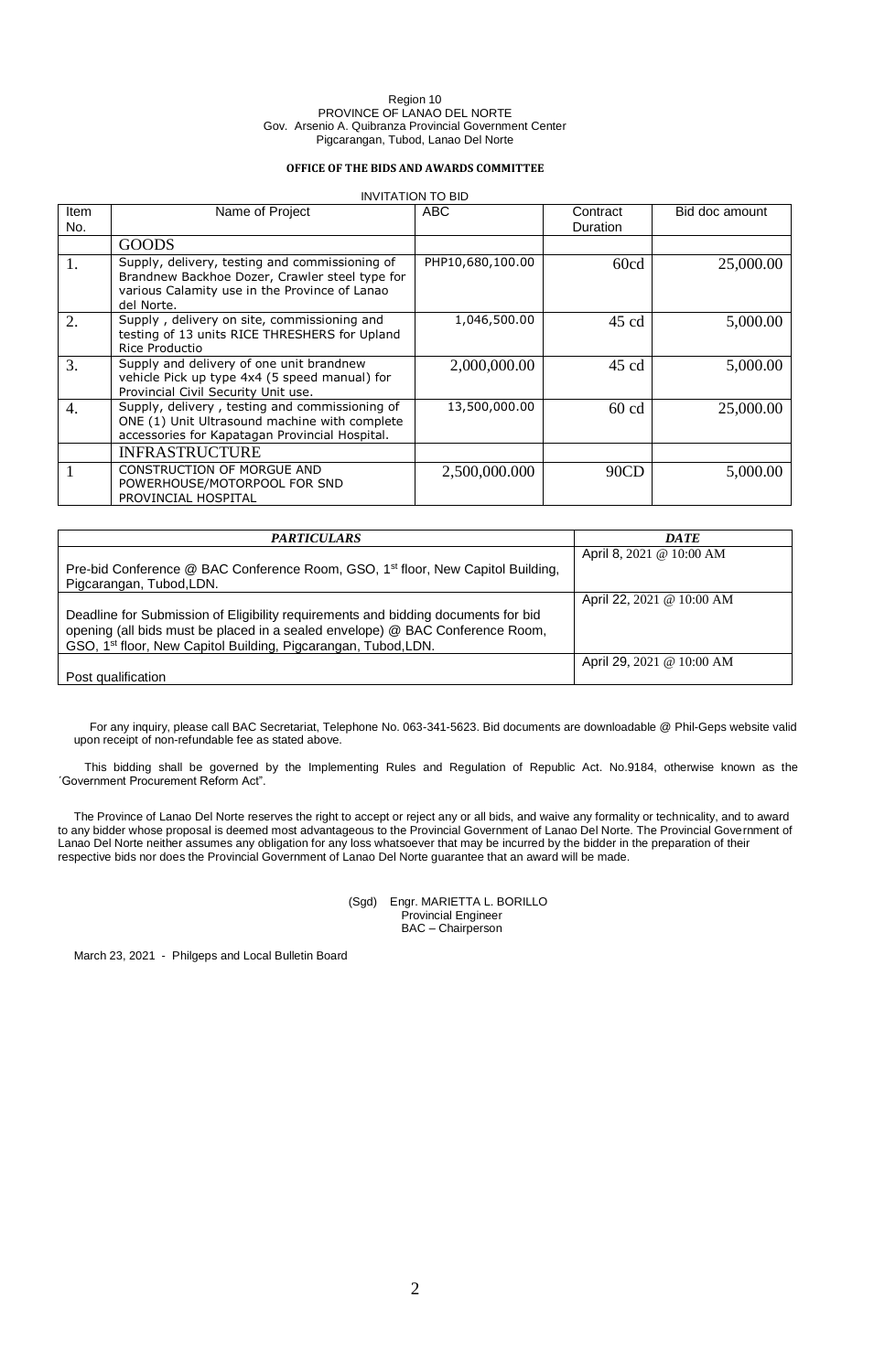# **OFFICE OF THE BIDS AND AWARDS COMMITTEE**

### INVITATION TO BID

| <b>Item</b><br>No. | Name of Project                                                                                                                                                 | ABC              | Contract<br>Duration | Bid doc amount |
|--------------------|-----------------------------------------------------------------------------------------------------------------------------------------------------------------|------------------|----------------------|----------------|
|                    | <b>GOODS</b>                                                                                                                                                    |                  |                      |                |
| 1.                 | Supply, delivery, testing and commissioning of<br>Brandnew Backhoe Dozer, Crawler steel type for<br>various Calamity use in the Province of Lanao<br>del Norte. | PHP10,680,100.00 | 60cd                 | 25,000.00      |
| 2.                 | Supply, delivery on site, commissioning and<br>testing of 13 units RICE THRESHERS for Upland<br>Rice Productio                                                  | 1,046,500.00     | 45 cd                | 5,000.00       |
| 3.                 | Supply and delivery of one unit brandnew<br>vehicle Pick up type 4x4 (5 speed manual) for<br>Provincial Civil Security Unit use.                                | 2,000,000.00     | $45 \text{ cd}$      | 5,000.00       |
| 4.                 | Supply, delivery, testing and commissioning of<br>ONE (1) Unit Ultrasound machine with complete<br>accessories for Kapatagan Provincial Hospital.               | 13,500,000.00    | $60 \text{ cd}$      | 25,000.00      |
|                    | <b>INFRASTRUCTURE</b>                                                                                                                                           |                  |                      |                |
|                    | CONSTRUCTION OF MORGUE AND<br>POWERHOUSE/MOTORPOOL FOR SND<br>PROVINCIAL HOSPITAL                                                                               | 2,500,000.000    | 90CD                 | 5,000.00       |

| <i><b>PARTICULARS</b></i>                                                                                                                                                                                                                        | <b>DATE</b>               |
|--------------------------------------------------------------------------------------------------------------------------------------------------------------------------------------------------------------------------------------------------|---------------------------|
| Pre-bid Conference @ BAC Conference Room, GSO, 1 <sup>st</sup> floor, New Capitol Building,<br>Pigcarangan, Tubod, LDN.                                                                                                                          | April 8, 2021 @ 10:00 AM  |
| Deadline for Submission of Eligibility requirements and bidding documents for bid<br>opening (all bids must be placed in a sealed envelope) @ BAC Conference Room,<br>GSO, 1 <sup>st</sup> floor, New Capitol Building, Pigcarangan, Tubod, LDN. | April 22, 2021 @ 10:00 AM |
| Post qualification                                                                                                                                                                                                                               | April 29, 2021 @ 10:00 AM |

For any inquiry, please call BAC Secretariat, Telephone No. 063-341-5623. Bid documents are downloadable @ Phil-Geps website valid upon receipt of non-refundable fee as stated above.

This bidding shall be governed by the Implementing Rules and Regulation of Republic Act. No.9184, otherwise known as the ´Government Procurement Reform Act".

The Province of Lanao Del Norte reserves the right to accept or reject any or all bids, and waive any formality or technicality, and to award to any bidder whose proposal is deemed most advantageous to the Provincial Government of Lanao Del Norte. The Provincial Government of Lanao Del Norte neither assumes any obligation for any loss whatsoever that may be incurred by the bidder in the preparation of their respective bids nor does the Provincial Government of Lanao Del Norte guarantee that an award will be made.

> (Sgd) Engr. MARIETTA L. BORILLO Provincial Engineer BAC – Chairperson

March 23, 2021 - Philgeps and Local Bulletin Board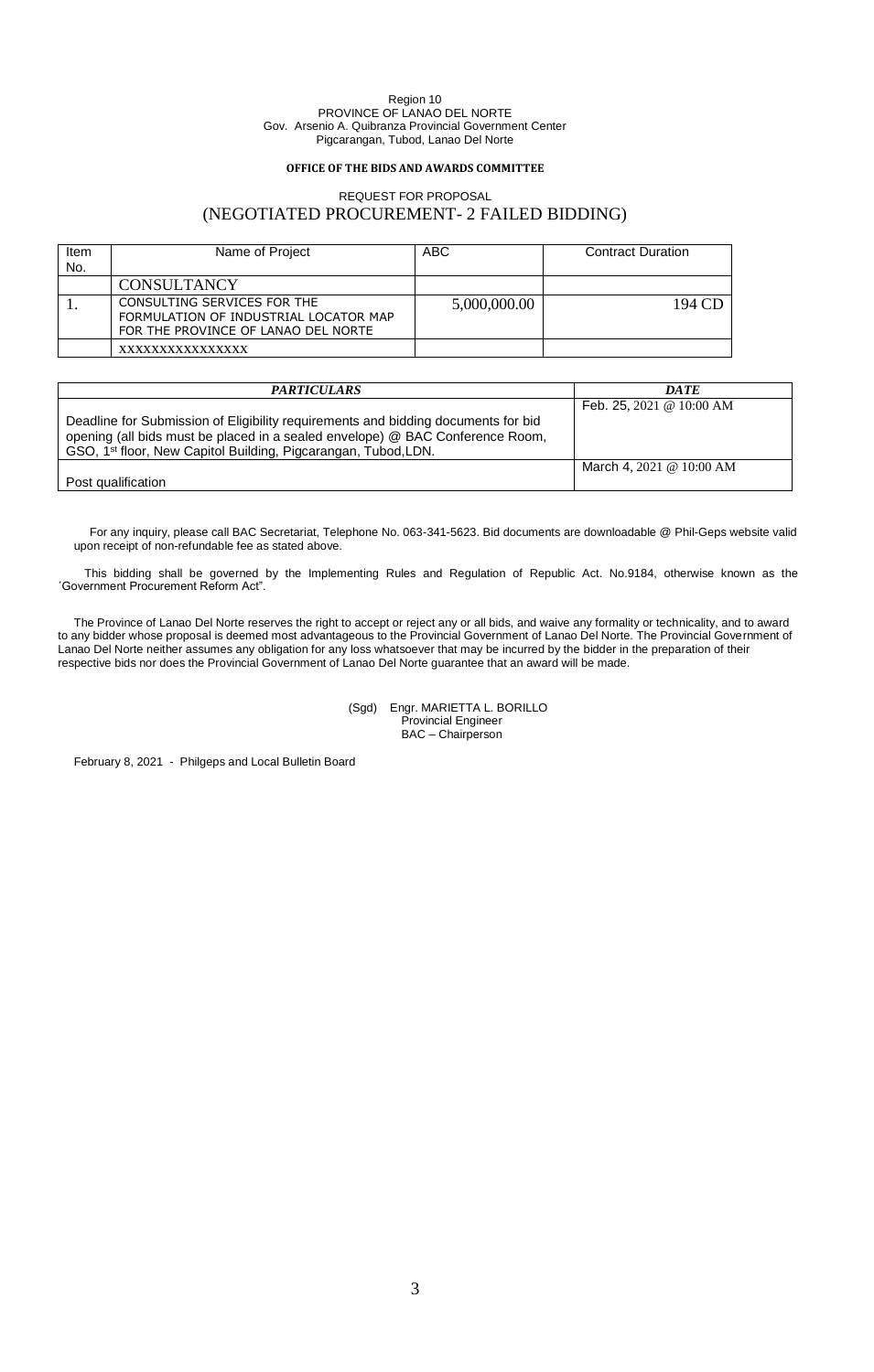# **OFFICE OF THE BIDS AND AWARDS COMMITTEE**

# REQUEST FOR PROPOSAL (NEGOTIATED PROCUREMENT- 2 FAILED BIDDING)

| Item<br>No. | Name of Project                                                                                             | <b>ABC</b>   | <b>Contract Duration</b> |
|-------------|-------------------------------------------------------------------------------------------------------------|--------------|--------------------------|
|             | <b>CONSULTANCY</b>                                                                                          |              |                          |
|             | CONSULTING SERVICES FOR THE<br>FORMULATION OF INDUSTRIAL LOCATOR MAP<br>FOR THE PROVINCE OF LANAO DEL NORTE | 5,000,000.00 | 194 CD                   |
|             | xxxxxxxxxxxxxxx                                                                                             |              |                          |

| <i><b>PARTICULARS</b></i>                                                                                                                                                                                                                        | <b>DATE</b>                |
|--------------------------------------------------------------------------------------------------------------------------------------------------------------------------------------------------------------------------------------------------|----------------------------|
|                                                                                                                                                                                                                                                  | Feb. 25, 2021 @ 10:00 AM   |
| Deadline for Submission of Eligibility requirements and bidding documents for bid<br>opening (all bids must be placed in a sealed envelope) @ BAC Conference Room,<br>GSO, 1 <sup>st</sup> floor, New Capitol Building, Pigcarangan, Tubod, LDN. |                            |
|                                                                                                                                                                                                                                                  | March 4, 2021 @ $10:00$ AM |
| Post qualification                                                                                                                                                                                                                               |                            |

For any inquiry, please call BAC Secretariat, Telephone No. 063-341-5623. Bid documents are downloadable @ Phil-Geps website valid upon receipt of non-refundable fee as stated above.

This bidding shall be governed by the Implementing Rules and Regulation of Republic Act. No.9184, otherwise known as the ´Government Procurement Reform Act".

The Province of Lanao Del Norte reserves the right to accept or reject any or all bids, and waive any formality or technicality, and to award to any bidder whose proposal is deemed most advantageous to the Provincial Government of Lanao Del Norte. The Provincial Government of Lanao Del Norte neither assumes any obligation for any loss whatsoever that may be incurred by the bidder in the preparation of their respective bids nor does the Provincial Government of Lanao Del Norte guarantee that an award will be made.

> (Sgd) Engr. MARIETTA L. BORILLO Provincial Engineer BAC – Chairperson

February 8, 2021 - Philgeps and Local Bulletin Board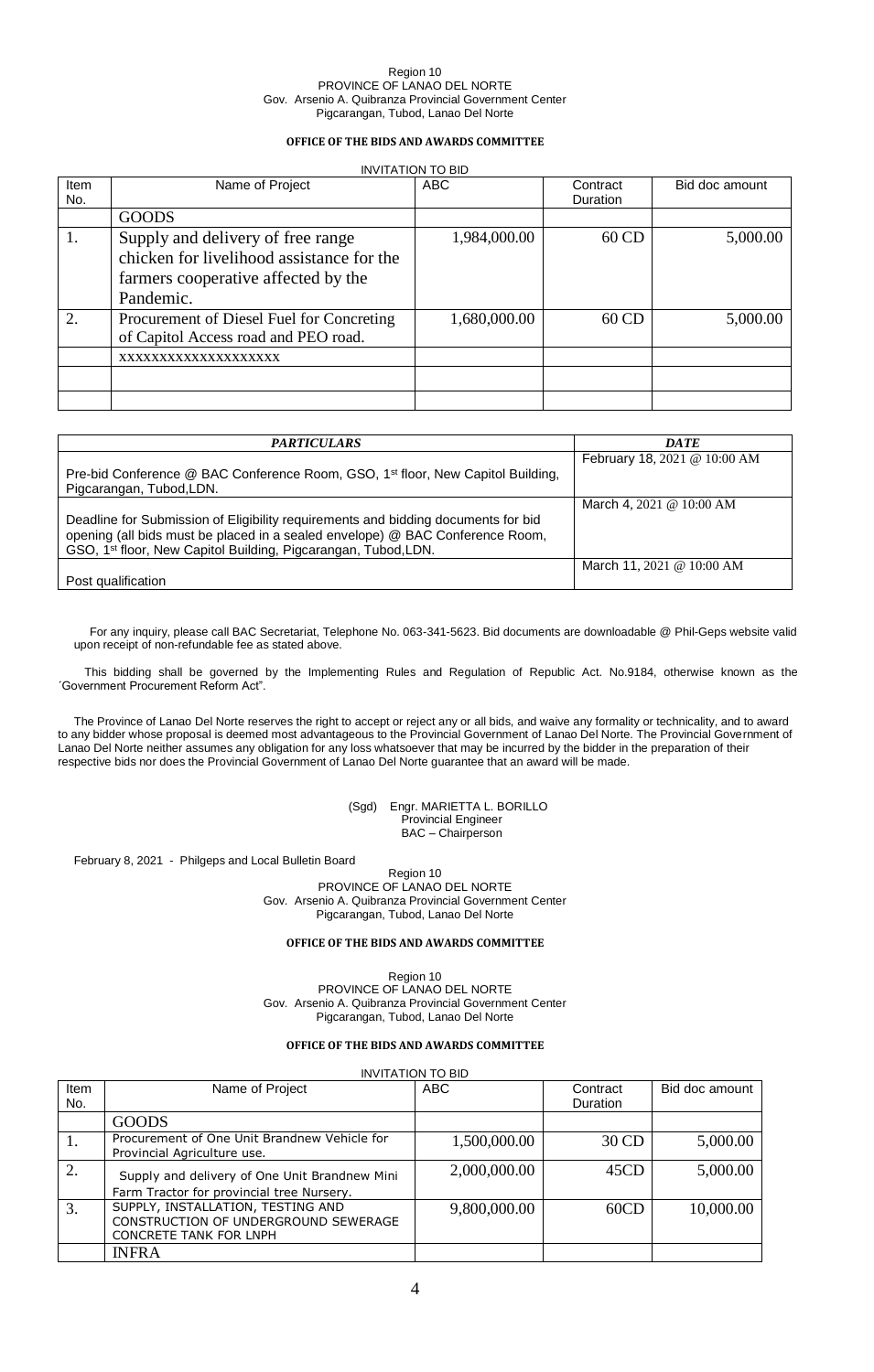# **OFFICE OF THE BIDS AND AWARDS COMMITTEE**

# INVITATION TO BID

| Item<br>No. | Name of Project                           | <b>ABC</b>   | Contract<br><b>Duration</b> | Bid doc amount |
|-------------|-------------------------------------------|--------------|-----------------------------|----------------|
|             | <b>GOODS</b>                              |              |                             |                |
| 1.          | Supply and delivery of free range         | 1,984,000.00 | 60 CD                       | 5,000.00       |
|             | chicken for livelihood assistance for the |              |                             |                |
|             | farmers cooperative affected by the       |              |                             |                |
|             | Pandemic.                                 |              |                             |                |
| 2.          | Procurement of Diesel Fuel for Concreting | 1,680,000.00 | 60 CD                       | 5,000.00       |
|             | of Capitol Access road and PEO road.      |              |                             |                |
|             | XXXXXXXXXXXXXXXXXXX                       |              |                             |                |
|             |                                           |              |                             |                |
|             |                                           |              |                             |                |

| <i><b>PARTICULARS</b></i>                                                                                                                                                                                                            | <b>DATE</b>                         |
|--------------------------------------------------------------------------------------------------------------------------------------------------------------------------------------------------------------------------------------|-------------------------------------|
| Pre-bid Conference @ BAC Conference Room, GSO, 1 <sup>st</sup> floor, New Capitol Building,<br>Pigcarangan, Tubod, LDN.                                                                                                              | February 18, 2021 @ 10:00 AM        |
|                                                                                                                                                                                                                                      | March 4, $2021 \& 10:00 \text{ AM}$ |
| Deadline for Submission of Eligibility requirements and bidding documents for bid<br>opening (all bids must be placed in a sealed envelope) @ BAC Conference Room,<br>GSO, 1st floor, New Capitol Building, Pigcarangan, Tubod, LDN. |                                     |
| Post qualification                                                                                                                                                                                                                   | March 11, 2021 @ $10:00$ AM         |

For any inquiry, please call BAC Secretariat, Telephone No. 063-341-5623. Bid documents are downloadable @ Phil-Geps website valid upon receipt of non-refundable fee as stated above.

This bidding shall be governed by the Implementing Rules and Regulation of Republic Act. No.9184, otherwise known as the ´Government Procurement Reform Act".

The Province of Lanao Del Norte reserves the right to accept or reject any or all bids, and waive any formality or technicality, and to award to any bidder whose proposal is deemed most advantageous to the Provincial Government of Lanao Del Norte. The Provincial Government of Lanao Del Norte neither assumes any obligation for any loss whatsoever that may be incurred by the bidder in the preparation of their respective bids nor does the Provincial Government of Lanao Del Norte guarantee that an award will be made.

> (Sgd) Engr. MARIETTA L. BORILLO Provincial Engineer BAC – Chairperson

February 8, 2021 - Philgeps and Local Bulletin Board

Region 10 PROVINCE OF LANAO DEL NORTE Gov. Arsenio A. Quibranza Provincial Government Center Pigcarangan, Tubod, Lanao Del Norte

# **OFFICE OF THE BIDS AND AWARDS COMMITTEE**

Region 10 PROVINCE OF LANAO DEL NORTE Gov. Arsenio A. Quibranza Provincial Government Center Pigcarangan, Tubod, Lanao Del Norte

### **OFFICE OF THE BIDS AND AWARDS COMMITTEE**

|      | <b>INVITATION TO BID</b>                                                    |              |          |                |  |  |
|------|-----------------------------------------------------------------------------|--------------|----------|----------------|--|--|
| Item | Name of Project                                                             | <b>ABC</b>   | Contract | Bid doc amount |  |  |
| No.  |                                                                             |              | Duration |                |  |  |
|      | <b>GOODS</b>                                                                |              |          |                |  |  |
|      | Procurement of One Unit Brandnew Vehicle for<br>Provincial Agriculture use. | 1,500,000.00 | 30 CD    | 5,000.00       |  |  |
|      | Supply and delivery of One Unit Brandnew Mini                               | 2,000,000.00 | 45CD     | 5,000.00       |  |  |
|      | Farm Tractor for provincial tree Nursery.                                   |              |          |                |  |  |
| 3.   | SUPPLY, INSTALLATION, TESTING AND                                           | 9,800,000.00 | 60CD     | 10,000.00      |  |  |
|      | CONSTRUCTION OF UNDERGROUND SEWERAGE                                        |              |          |                |  |  |
|      | <b>CONCRETE TANK FOR LNPH</b>                                               |              |          |                |  |  |
|      | <b>INFRA</b>                                                                |              |          |                |  |  |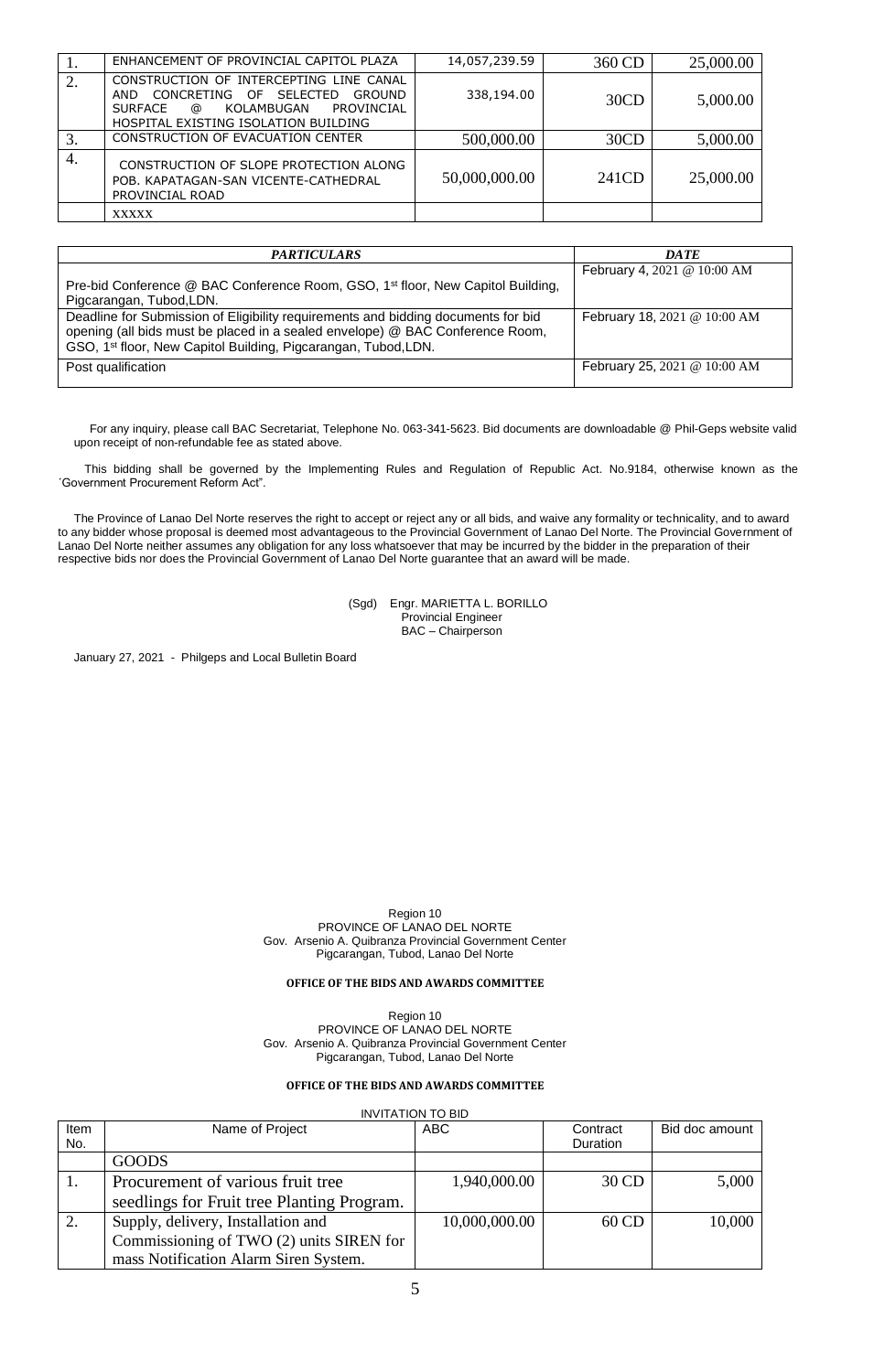|    | ENHANCEMENT OF PROVINCIAL CAPITOL PLAZA                                                                                                                                                            | 14,057,239.59 | 360 CD | 25,000.00 |
|----|----------------------------------------------------------------------------------------------------------------------------------------------------------------------------------------------------|---------------|--------|-----------|
|    | CONSTRUCTION OF INTERCEPTING LINE CANAL<br><b>SELECTED</b><br>CONCRETING<br>OF.<br>GROUND<br><b>AND</b><br><b>SURFACE</b><br>KOLAMBUGAN<br>PROVINCIAL<br>@<br>HOSPITAL EXISTING ISOLATION BUILDING | 338,194.00    | 30CD   | 5,000.00  |
|    | CONSTRUCTION OF EVACUATION CENTER                                                                                                                                                                  | 500,000.00    | 30CD   | 5,000.00  |
| 4. | CONSTRUCTION OF SLOPE PROTECTION ALONG<br>POB. KAPATAGAN-SAN VICENTE-CATHEDRAL<br>PROVINCIAL ROAD                                                                                                  | 50,000,000.00 | 241CD  | 25,000.00 |
|    | <b>XXXXX</b>                                                                                                                                                                                       |               |        |           |

| <i><b>PARTICULARS</b></i>                                                                                                                                                                                                            | <b>DATE</b>                  |
|--------------------------------------------------------------------------------------------------------------------------------------------------------------------------------------------------------------------------------------|------------------------------|
| Pre-bid Conference @ BAC Conference Room, GSO, 1 <sup>st</sup> floor, New Capitol Building,<br>Pigcarangan, Tubod, LDN.                                                                                                              | February 4, 2021 @ 10:00 AM  |
| Deadline for Submission of Eligibility requirements and bidding documents for bid<br>opening (all bids must be placed in a sealed envelope) @ BAC Conference Room,<br>GSO, 1st floor, New Capitol Building, Pigcarangan, Tubod, LDN. | February 18, 2021 @ 10:00 AM |
| Post qualification                                                                                                                                                                                                                   | February 25, 2021 @ 10:00 AM |

For any inquiry, please call BAC Secretariat, Telephone No. 063-341-5623. Bid documents are downloadable @ Phil-Geps website valid upon receipt of non-refundable fee as stated above.

This bidding shall be governed by the Implementing Rules and Regulation of Republic Act. No.9184, otherwise known as the ´Government Procurement Reform Act".

The Province of Lanao Del Norte reserves the right to accept or reject any or all bids, and waive any formality or technicality, and to award to any bidder whose proposal is deemed most advantageous to the Provincial Government of Lanao Del Norte. The Provincial Government of Lanao Del Norte neither assumes any obligation for any loss whatsoever that may be incurred by the bidder in the preparation of their respective bids nor does the Provincial Government of Lanao Del Norte guarantee that an award will be made.

> (Sgd) Engr. MARIETTA L. BORILLO Provincial Engineer BAC – Chairperson

January 27, 2021 - Philgeps and Local Bulletin Board

Region 10 PROVINCE OF LANAO DEL NORTE Gov. Arsenio A. Quibranza Provincial Government Center Pigcarangan, Tubod, Lanao Del Norte

# **OFFICE OF THE BIDS AND AWARDS COMMITTEE**

Region 10 PROVINCE OF LANAO DEL NORTE Gov. Arsenio A. Quibranza Provincial Government Center Pigcarangan, Tubod, Lanao Del Norte

# **OFFICE OF THE BIDS AND AWARDS COMMITTEE**

|      | <b>INVITATION TO BID</b>                   |               |                 |                |  |  |
|------|--------------------------------------------|---------------|-----------------|----------------|--|--|
| Item | Name of Project                            | <b>ABC</b>    | Contract        | Bid doc amount |  |  |
| No.  |                                            |               | <b>Duration</b> |                |  |  |
|      | <b>GOODS</b>                               |               |                 |                |  |  |
| 1.   | Procurement of various fruit tree          | 1,940,000.00  | 30 CD           | 5,000          |  |  |
|      | seedlings for Fruit tree Planting Program. |               |                 |                |  |  |
| 2.   | Supply, delivery, Installation and         | 10,000,000.00 | 60 CD           | 10,000         |  |  |
|      | Commissioning of TWO (2) units SIREN for   |               |                 |                |  |  |
|      | mass Notification Alarm Siren System.      |               |                 |                |  |  |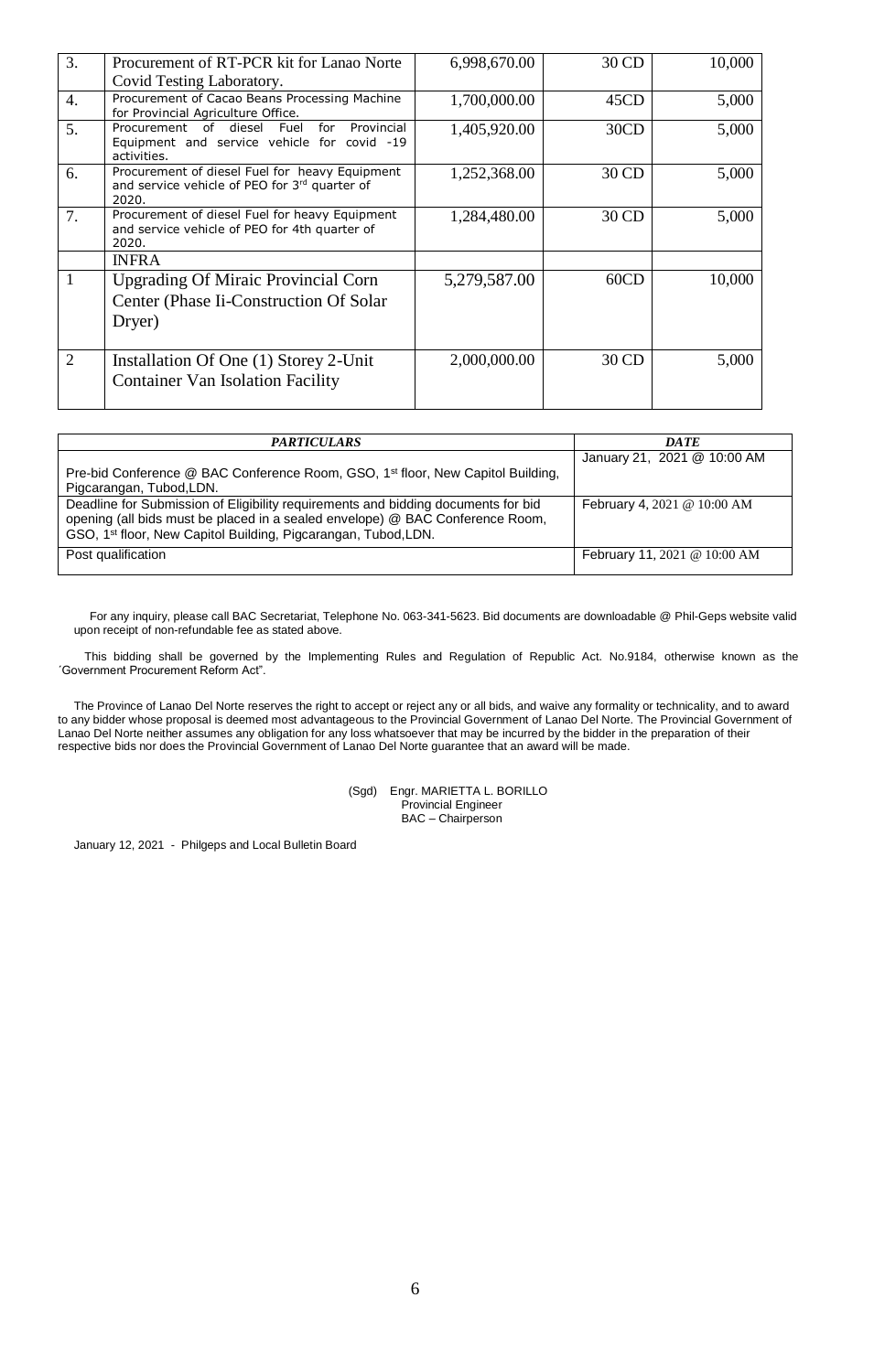| 3.             | Procurement of RT-PCR kit for Lanao Norte                                                                        | 6,998,670.00 | 30 CD | 10,000 |
|----------------|------------------------------------------------------------------------------------------------------------------|--------------|-------|--------|
|                | Covid Testing Laboratory.                                                                                        |              |       |        |
| 4.             | Procurement of Cacao Beans Processing Machine<br>for Provincial Agriculture Office.                              | 1,700,000.00 | 45CD  | 5,000  |
| 5.             | Procurement of diesel<br>for<br>Provincial<br>Fuel<br>Equipment and service vehicle for covid -19<br>activities. | 1,405,920.00 | 30CD  | 5,000  |
| 6.             | Procurement of diesel Fuel for heavy Equipment<br>and service vehicle of PEO for 3rd quarter of<br>2020.         | 1,252,368.00 | 30 CD | 5,000  |
| 7.             | Procurement of diesel Fuel for heavy Equipment<br>and service vehicle of PEO for 4th quarter of<br>2020.         | 1,284,480.00 | 30 CD | 5,000  |
|                | <b>INFRA</b>                                                                                                     |              |       |        |
| 1              | <b>Upgrading Of Miraic Provincial Corn</b><br>Center (Phase Ii-Construction Of Solar)<br>Dryer)                  | 5,279,587.00 | 60CD  | 10,000 |
| $\overline{2}$ | Installation Of One (1) Storey 2-Unit<br><b>Container Van Isolation Facility</b>                                 | 2,000,000.00 | 30 CD | 5,000  |

| <b>PARTICULARS</b>                                                                                                                                                                                                                               | <b>DATE</b>                  |  |
|--------------------------------------------------------------------------------------------------------------------------------------------------------------------------------------------------------------------------------------------------|------------------------------|--|
| Pre-bid Conference @ BAC Conference Room, GSO, 1 <sup>st</sup> floor, New Capitol Building,<br>Pigcarangan, Tubod, LDN.                                                                                                                          | January 21, 2021 @ 10:00 AM  |  |
| Deadline for Submission of Eligibility requirements and bidding documents for bid<br>opening (all bids must be placed in a sealed envelope) @ BAC Conference Room,<br>GSO, 1 <sup>st</sup> floor, New Capitol Building, Pigcarangan, Tubod, LDN. | February 4, 2021 @ 10:00 AM  |  |
| Post qualification                                                                                                                                                                                                                               | February 11, 2021 @ 10:00 AM |  |

For any inquiry, please call BAC Secretariat, Telephone No. 063-341-5623. Bid documents are downloadable @ Phil-Geps website valid upon receipt of non-refundable fee as stated above.

This bidding shall be governed by the Implementing Rules and Regulation of Republic Act. No.9184, otherwise known as the ´Government Procurement Reform Act".

The Province of Lanao Del Norte reserves the right to accept or reject any or all bids, and waive any formality or technicality, and to award to any bidder whose proposal is deemed most advantageous to the Provincial Government of Lanao Del Norte. The Provincial Government of Lanao Del Norte neither assumes any obligation for any loss whatsoever that may be incurred by the bidder in the preparation of their respective bids nor does the Provincial Government of Lanao Del Norte guarantee that an award will be made.

> (Sgd) Engr. MARIETTA L. BORILLO Provincial Engineer BAC – Chairperson

January 12, 2021 - Philgeps and Local Bulletin Board